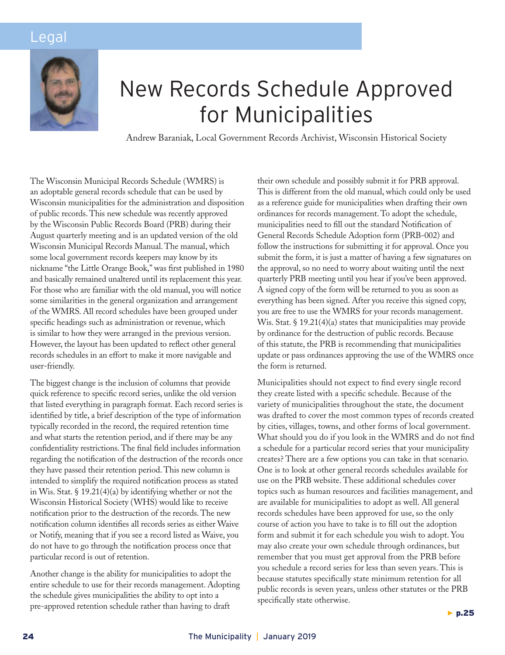## Legal



# New Records Schedule Approved for Municipalities

Andrew Baraniak, Local Government Records Archivist, Wisconsin Historical Society

The Wisconsin Municipal Records Schedule (WMRS) is an adoptable general records schedule that can be used by Wisconsin municipalities for the administration and disposition of public records. This new schedule was recently approved by the Wisconsin Public Records Board (PRB) during their August quarterly meeting and is an updated version of the old Wisconsin Municipal Records Manual. The manual, which some local government records keepers may know by its nickname "the Little Orange Book," was first published in 1980 and basically remained unaltered until its replacement this year. For those who are familiar with the old manual, you will notice some similarities in the general organization and arrangement of the WMRS. All record schedules have been grouped under specific headings such as administration or revenue, which is similar to how they were arranged in the previous version. However, the layout has been updated to reflect other general records schedules in an effort to make it more navigable and user-friendly.

The biggest change is the inclusion of columns that provide quick reference to specific record series, unlike the old version that listed everything in paragraph format. Each record series is identified by title, a brief description of the type of information typically recorded in the record, the required retention time and what starts the retention period, and if there may be any confidentiality restrictions. The final field includes information regarding the notification of the destruction of the records once they have passed their retention period. This new column is intended to simplify the required notification process as stated in Wis. Stat. § 19.21(4)(a) by identifying whether or not the Wisconsin Historical Society (WHS) would like to receive notification prior to the destruction of the records. The new notification column identifies all records series as either Waive or Notify, meaning that if you see a record listed as Waive, you do not have to go through the notification process once that particular record is out of retention.

Another change is the ability for municipalities to adopt the entire schedule to use for their records management. Adopting the schedule gives municipalities the ability to opt into a pre-approved retention schedule rather than having to draft

their own schedule and possibly submit it for PRB approval. This is different from the old manual, which could only be used as a reference guide for municipalities when drafting their own ordinances for records management. To adopt the schedule, municipalities need to fill out the standard Notification of General Records Schedule Adoption form (PRB-002) and follow the instructions for submitting it for approval. Once you submit the form, it is just a matter of having a few signatures on the approval, so no need to worry about waiting until the next quarterly PRB meeting until you hear if you've been approved. A signed copy of the form will be returned to you as soon as everything has been signed. After you receive this signed copy, you are free to use the WMRS for your records management. Wis. Stat. § 19.21(4)(a) states that municipalities may provide by ordinance for the destruction of public records. Because of this statute, the PRB is recommending that municipalities update or pass ordinances approving the use of the WMRS once the form is returned.

Municipalities should not expect to find every single record they create listed with a specific schedule. Because of the variety of municipalities throughout the state, the document was drafted to cover the most common types of records created by cities, villages, towns, and other forms of local government. What should you do if you look in the WMRS and do not find a schedule for a particular record series that your municipality creates? There are a few options you can take in that scenario. One is to look at other general records schedules available for use on the PRB website. These additional schedules cover topics such as human resources and facilities management, and are available for municipalities to adopt as well. All general records schedules have been approved for use, so the only course of action you have to take is to fill out the adoption form and submit it for each schedule you wish to adopt. You may also create your own schedule through ordinances, but remember that you must get approval from the PRB before you schedule a record series for less than seven years. This is because statutes specifically state minimum retention for all public records is seven years, unless other statutes or the PRB specifically state otherwise.